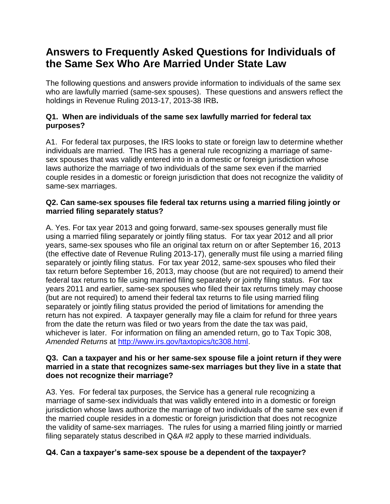# **Answers to Frequently Asked Questions for Individuals of the Same Sex Who Are Married Under State Law**

The following questions and answers provide information to individuals of the same sex who are lawfully married (same-sex spouses). These questions and answers reflect the holdings in Revenue Ruling 2013-17, 2013-38 IRB**.**

# **Q1. When are individuals of the same sex lawfully married for federal tax purposes?**

A1. For federal tax purposes, the IRS looks to state or foreign law to determine whether individuals are married. The IRS has a general rule recognizing a marriage of samesex spouses that was validly entered into in a domestic or foreign jurisdiction whose laws authorize the marriage of two individuals of the same sex even if the married couple resides in a domestic or foreign jurisdiction that does not recognize the validity of same-sex marriages.

# **Q2. Can same-sex spouses file federal tax returns using a married filing jointly or married filing separately status?**

A. Yes. For tax year 2013 and going forward, same-sex spouses generally must file using a married filing separately or jointly filing status. For tax year 2012 and all prior years, same-sex spouses who file an original tax return on or after September 16, 2013 (the effective date of Revenue Ruling 2013-17), generally must file using a married filing separately or jointly filing status. For tax year 2012, same-sex spouses who filed their tax return before September 16, 2013, may choose (but are not required) to amend their federal tax returns to file using married filing separately or jointly filing status. For tax years 2011 and earlier, same-sex spouses who filed their tax returns timely may choose (but are not required) to amend their federal tax returns to file using married filing separately or jointly filing status provided the period of limitations for amending the return has not expired. A taxpayer generally may file a claim for refund for three years from the date the return was filed or two years from the date the tax was paid, whichever is later. For information on filing an amended return, go to Tax Topic 308, *Amended Returns* at [http://www.irs.gov/taxtopics/tc308.html.](http://www.irs.gov/taxtopics/tc308.html)

## **Q3. Can a taxpayer and his or her same-sex spouse file a joint return if they were married in a state that recognizes same-sex marriages but they live in a state that does not recognize their marriage?**

A3. Yes. For federal tax purposes, the Service has a general rule recognizing a marriage of same-sex individuals that was validly entered into in a domestic or foreign jurisdiction whose laws authorize the marriage of two individuals of the same sex even if the married couple resides in a domestic or foreign jurisdiction that does not recognize the validity of same-sex marriages. The rules for using a married filing jointly or married filing separately status described in Q&A #2 apply to these married individuals.

# **Q4. Can a taxpayer's same-sex spouse be a dependent of the taxpayer?**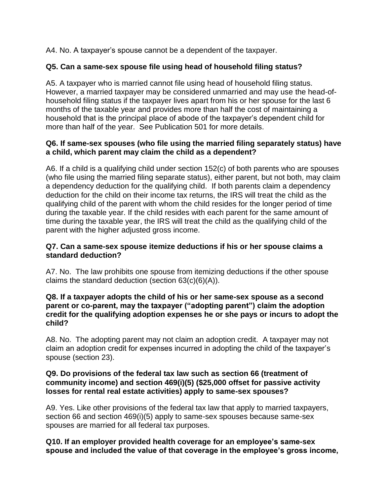A4. No. A taxpayer's spouse cannot be a dependent of the taxpayer.

# **Q5. Can a same-sex spouse file using head of household filing status?**

A5. A taxpayer who is married cannot file using head of household filing status. However, a married taxpayer may be considered unmarried and may use the head-ofhousehold filing status if the taxpayer lives apart from his or her spouse for the last 6 months of the taxable year and provides more than half the cost of maintaining a household that is the principal place of abode of the taxpayer's dependent child for more than half of the year. See Publication 501 for more details.

## **Q6. If same-sex spouses (who file using the married filing separately status) have a child, which parent may claim the child as a dependent?**

A6. If a child is a qualifying child under section 152(c) of both parents who are spouses (who file using the married filing separate status), either parent, but not both, may claim a dependency deduction for the qualifying child. If both parents claim a dependency deduction for the child on their income tax returns, the IRS will treat the child as the qualifying child of the parent with whom the child resides for the longer period of time during the taxable year. If the child resides with each parent for the same amount of time during the taxable year, the IRS will treat the child as the qualifying child of the parent with the higher adjusted gross income.

## **Q7. Can a same-sex spouse itemize deductions if his or her spouse claims a standard deduction?**

A7. No. The law prohibits one spouse from itemizing deductions if the other spouse claims the standard deduction (section  $63(c)(6)(A)$ ).

#### **Q8. If a taxpayer adopts the child of his or her same-sex spouse as a second parent or co-parent, may the taxpayer ("adopting parent") claim the adoption credit for the qualifying adoption expenses he or she pays or incurs to adopt the child?**

A8. No. The adopting parent may not claim an adoption credit. A taxpayer may not claim an adoption credit for expenses incurred in adopting the child of the taxpayer's spouse (section 23).

#### **Q9. Do provisions of the federal tax law such as section 66 (treatment of community income) and section 469(i)(5) (\$25,000 offset for passive activity losses for rental real estate activities) apply to same-sex spouses?**

A9. Yes. Like other provisions of the federal tax law that apply to married taxpayers, section 66 and section 469(i)(5) apply to same-sex spouses because same-sex spouses are married for all federal tax purposes.

#### **Q10. If an employer provided health coverage for an employee's same-sex spouse and included the value of that coverage in the employee's gross income,**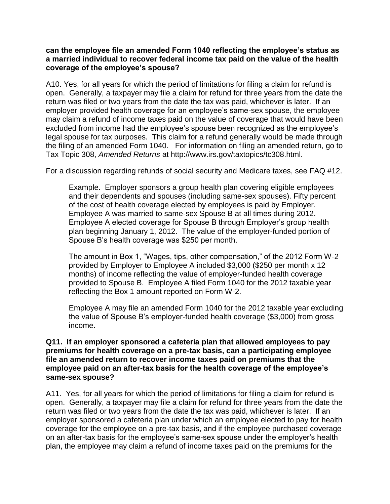#### **can the employee file an amended Form 1040 reflecting the employee's status as a married individual to recover federal income tax paid on the value of the health coverage of the employee's spouse?**

A10. Yes, for all years for which the period of limitations for filing a claim for refund is open. Generally, a taxpayer may file a claim for refund for three years from the date the return was filed or two years from the date the tax was paid, whichever is later. If an employer provided health coverage for an employee's same-sex spouse, the employee may claim a refund of income taxes paid on the value of coverage that would have been excluded from income had the employee's spouse been recognized as the employee's legal spouse for tax purposes. This claim for a refund generally would be made through the filing of an amended Form 1040. For information on filing an amended return, go to Tax Topic 308, *Amended Returns* at http://www.irs.gov/taxtopics/tc308.html.

For a discussion regarding refunds of social security and Medicare taxes, see FAQ #12.

Example. Employer sponsors a group health plan covering eligible employees and their dependents and spouses (including same-sex spouses). Fifty percent of the cost of health coverage elected by employees is paid by Employer. Employee A was married to same-sex Spouse B at all times during 2012. Employee A elected coverage for Spouse B through Employer's group health plan beginning January 1, 2012. The value of the employer-funded portion of Spouse B's health coverage was \$250 per month.

The amount in Box 1, "Wages, tips, other compensation," of the 2012 Form W-2 provided by Employer to Employee A included \$3,000 (\$250 per month x 12 months) of income reflecting the value of employer-funded health coverage provided to Spouse B. Employee A filed Form 1040 for the 2012 taxable year reflecting the Box 1 amount reported on Form W-2.

Employee A may file an amended Form 1040 for the 2012 taxable year excluding the value of Spouse B's employer-funded health coverage (\$3,000) from gross income.

#### **Q11. If an employer sponsored a cafeteria plan that allowed employees to pay premiums for health coverage on a pre-tax basis, can a participating employee file an amended return to recover income taxes paid on premiums that the employee paid on an after-tax basis for the health coverage of the employee's same-sex spouse?**

A11. Yes, for all years for which the period of limitations for filing a claim for refund is open. Generally, a taxpayer may file a claim for refund for three years from the date the return was filed or two years from the date the tax was paid, whichever is later. If an employer sponsored a cafeteria plan under which an employee elected to pay for health coverage for the employee on a pre-tax basis, and if the employee purchased coverage on an after-tax basis for the employee's same-sex spouse under the employer's health plan, the employee may claim a refund of income taxes paid on the premiums for the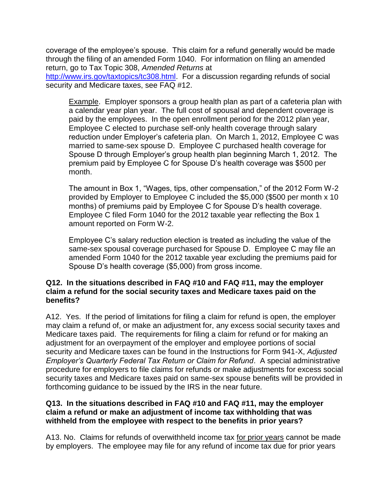coverage of the employee's spouse. This claim for a refund generally would be made through the filing of an amended Form 1040. For information on filing an amended return, go to Tax Topic 308, *Amended Returns* at

[http://www.irs.gov/taxtopics/tc308.html.](http://www.irs.gov/taxtopics/tc308.html) For a discussion regarding refunds of social security and Medicare taxes, see FAQ #12.

Example. Employer sponsors a group health plan as part of a cafeteria plan with a calendar year plan year. The full cost of spousal and dependent coverage is paid by the employees. In the open enrollment period for the 2012 plan year, Employee C elected to purchase self-only health coverage through salary reduction under Employer's cafeteria plan. On March 1, 2012, Employee C was married to same-sex spouse D. Employee C purchased health coverage for Spouse D through Employer's group health plan beginning March 1, 2012. The premium paid by Employee C for Spouse D's health coverage was \$500 per month.

The amount in Box 1, "Wages, tips, other compensation," of the 2012 Form W-2 provided by Employer to Employee C included the \$5,000 (\$500 per month x 10 months) of premiums paid by Employee C for Spouse D's health coverage. Employee C filed Form 1040 for the 2012 taxable year reflecting the Box 1 amount reported on Form W-2.

Employee C's salary reduction election is treated as including the value of the same-sex spousal coverage purchased for Spouse D. Employee C may file an amended Form 1040 for the 2012 taxable year excluding the premiums paid for Spouse D's health coverage (\$5,000) from gross income.

#### **Q12. In the situations described in FAQ #10 and FAQ #11, may the employer claim a refund for the social security taxes and Medicare taxes paid on the benefits?**

A12. Yes. If the period of limitations for filing a claim for refund is open, the employer may claim a refund of, or make an adjustment for, any excess social security taxes and Medicare taxes paid. The requirements for filing a claim for refund or for making an adjustment for an overpayment of the employer and employee portions of social security and Medicare taxes can be found in the Instructions for Form 941-X, *Adjusted Employer's Quarterly Federal Tax Return or Claim for Refund*. A special administrative procedure for employers to file claims for refunds or make adjustments for excess social security taxes and Medicare taxes paid on same-sex spouse benefits will be provided in forthcoming guidance to be issued by the IRS in the near future.

#### **Q13. In the situations described in FAQ #10 and FAQ #11, may the employer claim a refund or make an adjustment of income tax withholding that was withheld from the employee with respect to the benefits in prior years?**

A13. No. Claims for refunds of overwithheld income tax for prior years cannot be made by employers. The employee may file for any refund of income tax due for prior years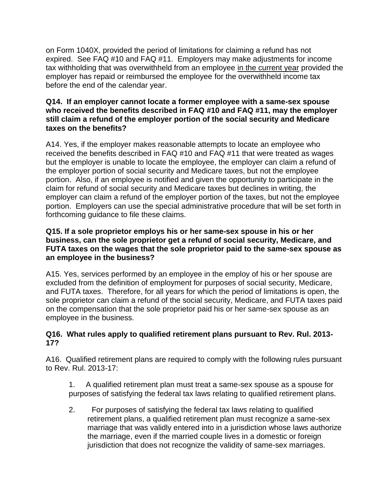on Form 1040X, provided the period of limitations for claiming a refund has not expired. See FAQ #10 and FAQ #11. Employers may make adjustments for income tax withholding that was overwithheld from an employee in the current year provided the employer has repaid or reimbursed the employee for the overwithheld income tax before the end of the calendar year.

#### **Q14. If an employer cannot locate a former employee with a same-sex spouse who received the benefits described in FAQ #10 and FAQ #11, may the employer still claim a refund of the employer portion of the social security and Medicare taxes on the benefits?**

A14. Yes, if the employer makes reasonable attempts to locate an employee who received the benefits described in FAQ #10 and FAQ #11 that were treated as wages but the employer is unable to locate the employee, the employer can claim a refund of the employer portion of social security and Medicare taxes, but not the employee portion. Also, if an employee is notified and given the opportunity to participate in the claim for refund of social security and Medicare taxes but declines in writing, the employer can claim a refund of the employer portion of the taxes, but not the employee portion. Employers can use the special administrative procedure that will be set forth in forthcoming guidance to file these claims.

### **Q15. If a sole proprietor employs his or her same-sex spouse in his or her business, can the sole proprietor get a refund of social security, Medicare, and FUTA taxes on the wages that the sole proprietor paid to the same-sex spouse as an employee in the business?**

A15. Yes, services performed by an employee in the employ of his or her spouse are excluded from the definition of employment for purposes of social security, Medicare, and FUTA taxes. Therefore, for all years for which the period of limitations is open, the sole proprietor can claim a refund of the social security, Medicare, and FUTA taxes paid on the compensation that the sole proprietor paid his or her same-sex spouse as an employee in the business.

# **Q16. What rules apply to qualified retirement plans pursuant to Rev. Rul. 2013- 17?**

A16. Qualified retirement plans are required to comply with the following rules pursuant to Rev. Rul. 2013-17:

1. A qualified retirement plan must treat a same-sex spouse as a spouse for purposes of satisfying the federal tax laws relating to qualified retirement plans.

2. For purposes of satisfying the federal tax laws relating to qualified retirement plans, a qualified retirement plan must recognize a same-sex marriage that was validly entered into in a jurisdiction whose laws authorize the marriage, even if the married couple lives in a domestic or foreign jurisdiction that does not recognize the validity of same-sex marriages.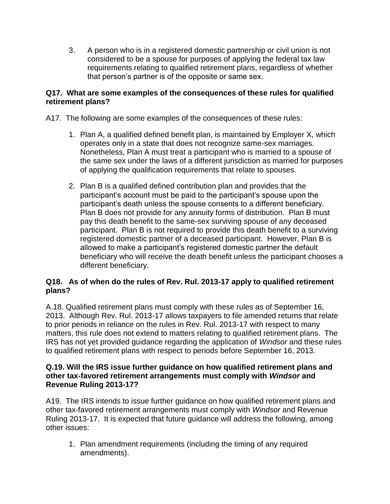3. A person who is in a registered domestic partnership or civil union is not considered to be a spouse for purposes of applying the federal tax law requirements relating to qualified retirement plans, regardless of whether that person's partner is of the opposite or same sex.

# **Q17. What are some examples of the consequences of these rules for qualified retirement plans?**

A17. The following are some examples of the consequences of these rules:

- 1. Plan A, a qualified defined benefit plan, is maintained by Employer X, which operates only in a state that does not recognize same-sex marriages. Nonetheless, Plan A must treat a participant who is married to a spouse of the same sex under the laws of a different jurisdiction as married for purposes of applying the qualification requirements that relate to spouses.
- 2. Plan B is a qualified defined contribution plan and provides that the participant's account must be paid to the participant's spouse upon the participant's death unless the spouse consents to a different beneficiary. Plan B does not provide for any annuity forms of distribution. Plan B must pay this death benefit to the same-sex surviving spouse of any deceased participant. Plan B is not required to provide this death benefit to a surviving registered domestic partner of a deceased participant. However, Plan B is allowed to make a participant's registered domestic partner the default beneficiary who will receive the death benefit unless the participant chooses a different beneficiary.

# **Q18. As of when do the rules of Rev. Rul. 2013-17 apply to qualified retirement plans?**

A.18. Qualified retirement plans must comply with these rules as of September 16, 2013. Although Rev. Rul. 2013-17 allows taxpayers to file amended returns that relate to prior periods in reliance on the rules in Rev. Rul. 2013-17 with respect to many matters, this rule does not extend to matters relating to qualified retirement plans. The IRS has not yet provided guidance regarding the application of *Windsor* and these rules to qualified retirement plans with respect to periods before September 16, 2013.

#### **Q.19. Will the IRS issue further guidance on how qualified retirement plans and other tax-favored retirement arrangements must comply with** *Windsor* **and Revenue Ruling 2013-17?**

A19. The IRS intends to issue further guidance on how qualified retirement plans and other tax-favored retirement arrangements must comply with *Windsor* and Revenue Ruling 2013-17. It is expected that future guidance will address the following, among other issues:

1. Plan amendment requirements (including the timing of any required amendments).